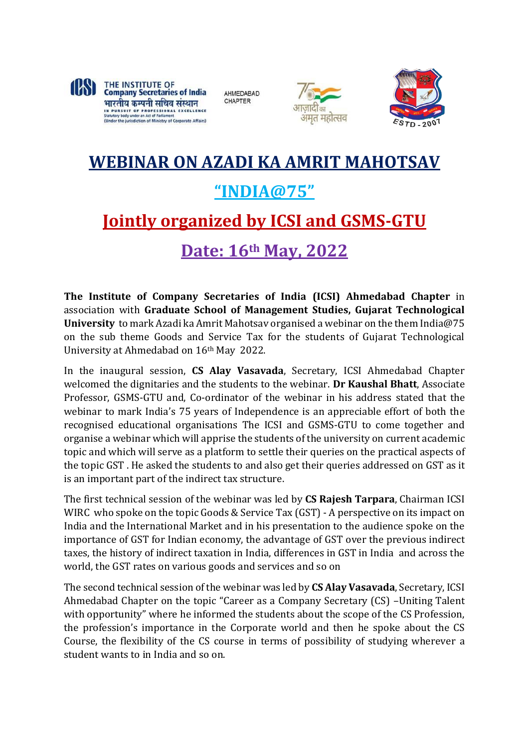

AHMEDABAD **CHAPTER** 





## **WEBINAR ON AZADI KA AMRIT MAHOTSAV "INDIA@75" Jointly organized by ICSI and GSMS-GTU Date: 16th May, 2022**

**The Institute of Company Secretaries of India (ICSI) Ahmedabad Chapter** in association with **Graduate School of Management Studies, Gujarat Technological University** to mark Azadi ka Amrit Mahotsav organised a webinar on the them India@75 on the sub theme Goods and Service Tax for the students of Gujarat Technological University at Ahmedabad on 16th May 2022.

In the inaugural session, **CS Alay Vasavada**, Secretary, ICSI Ahmedabad Chapter welcomed the dignitaries and the students to the webinar. **Dr Kaushal Bhatt**, Associate Professor, GSMS-GTU and, Co-ordinator of the webinar in his address stated that the webinar to mark India's 75 years of Independence is an appreciable effort of both the recognised educational organisations The ICSI and GSMS-GTU to come together and organise a webinar which will apprise the students of the university on current academic topic and which will serve as a platform to settle their queries on the practical aspects of the topic GST . He asked the students to and also get their queries addressed on GST as it is an important part of the indirect tax structure.

The first technical session of the webinar was led by **CS Rajesh Tarpara**, Chairman ICSI WIRC who spoke on the topic Goods & Service Tax (GST) - A perspective on its impact on India and the International Market and in his presentation to the audience spoke on the importance of GST for Indian economy, the advantage of GST over the previous indirect taxes, the history of indirect taxation in India, differences in GST in India and across the world, the GST rates on various goods and services and so on

The second technical session of the webinar was led by **CS Alay Vasavada**, Secretary, ICSI Ahmedabad Chapter on the topic "Career as a Company Secretary (CS) –Uniting Talent with opportunity" where he informed the students about the scope of the CS Profession, the profession's importance in the Corporate world and then he spoke about the CS Course, the flexibility of the CS course in terms of possibility of studying wherever a student wants to in India and so on.